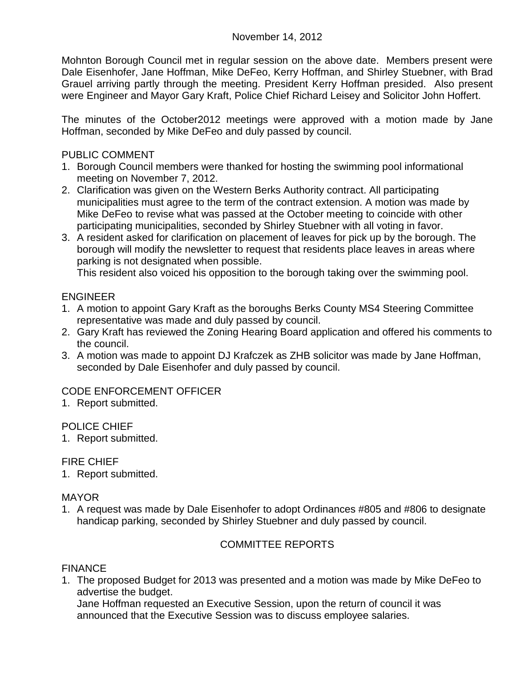Mohnton Borough Council met in regular session on the above date. Members present were Dale Eisenhofer, Jane Hoffman, Mike DeFeo, Kerry Hoffman, and Shirley Stuebner, with Brad Grauel arriving partly through the meeting. President Kerry Hoffman presided. Also present were Engineer and Mayor Gary Kraft, Police Chief Richard Leisey and Solicitor John Hoffert.

The minutes of the October2012 meetings were approved with a motion made by Jane Hoffman, seconded by Mike DeFeo and duly passed by council.

## PUBLIC COMMENT

- 1. Borough Council members were thanked for hosting the swimming pool informational meeting on November 7, 2012.
- 2. Clarification was given on the Western Berks Authority contract. All participating municipalities must agree to the term of the contract extension. A motion was made by Mike DeFeo to revise what was passed at the October meeting to coincide with other participating municipalities, seconded by Shirley Stuebner with all voting in favor.
- 3. A resident asked for clarification on placement of leaves for pick up by the borough. The borough will modify the newsletter to request that residents place leaves in areas where parking is not designated when possible.

This resident also voiced his opposition to the borough taking over the swimming pool.

## ENGINEER

- 1. A motion to appoint Gary Kraft as the boroughs Berks County MS4 Steering Committee representative was made and duly passed by council.
- 2. Gary Kraft has reviewed the Zoning Hearing Board application and offered his comments to the council.
- 3. A motion was made to appoint DJ Krafczek as ZHB solicitor was made by Jane Hoffman, seconded by Dale Eisenhofer and duly passed by council.

# CODE ENFORCEMENT OFFICER

1. Report submitted.

## POLICE CHIEF

1. Report submitted.

### FIRE CHIEF

1. Report submitted.

### MAYOR

1. A request was made by Dale Eisenhofer to adopt Ordinances #805 and #806 to designate handicap parking, seconded by Shirley Stuebner and duly passed by council.

## COMMITTEE REPORTS

### **FINANCE**

1. The proposed Budget for 2013 was presented and a motion was made by Mike DeFeo to advertise the budget.

Jane Hoffman requested an Executive Session, upon the return of council it was announced that the Executive Session was to discuss employee salaries.